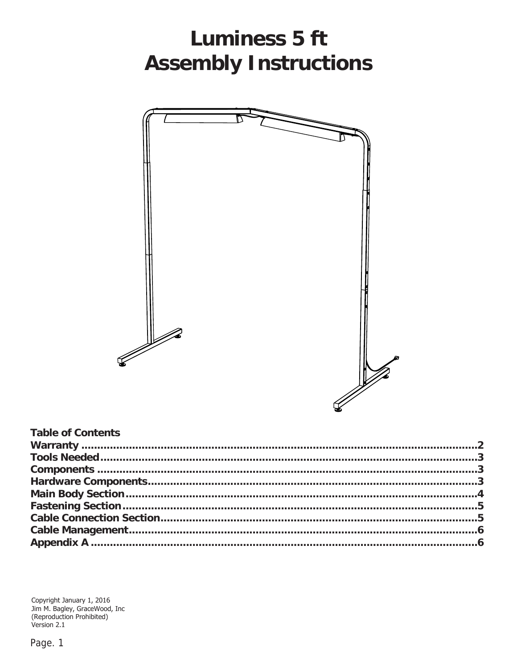# **Luminess 5 ft Assembly Instructions**



| <b>Table of Contents</b> |  |
|--------------------------|--|
|                          |  |
|                          |  |
|                          |  |
|                          |  |
|                          |  |
|                          |  |
|                          |  |
|                          |  |
|                          |  |

Copyright January 1, 2016<br>Jim M. Bagley, GraceWood, Inc<br>(Reproduction Prohibited)<br>Version 2.1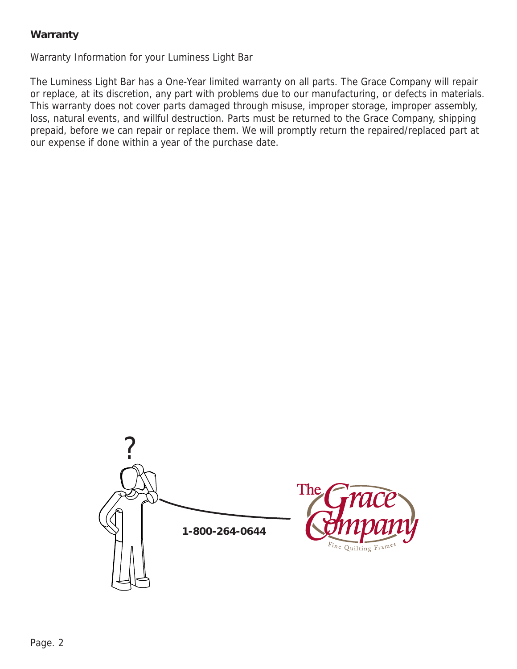# **Warranty**

Warranty Information for your Luminess Light Bar

The Luminess Light Bar has a One-Year limited warranty on all parts. The Grace Company will repair or replace, at its discretion, any part with problems due to our manufacturing, or defects in materials. This warranty does not cover parts damaged through misuse, improper storage, improper assembly, loss, natural events, and willful destruction. Parts must be returned to the Grace Company, shipping prepaid, before we can repair or replace them. We will promptly return the repaired/replaced part at our expense if done within a year of the purchase date.

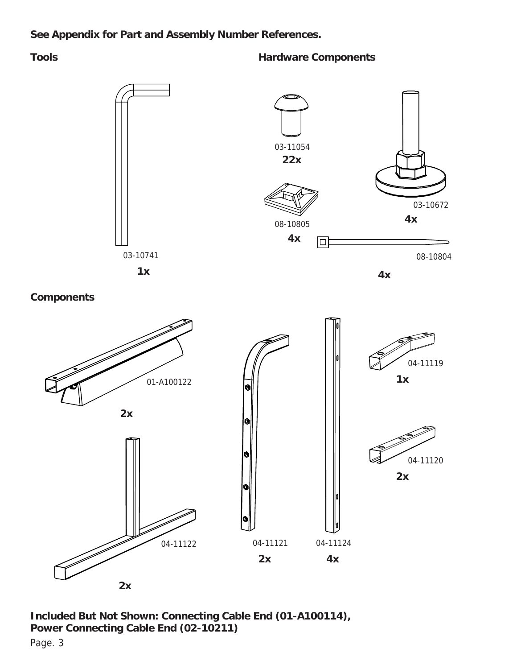## **See Appendix for Part and Assembly Number References.**

### **Tools Hardware Components**



**Included But Not Shown: Connecting Cable End (01-A100114), Power Connecting Cable End (02-10211)**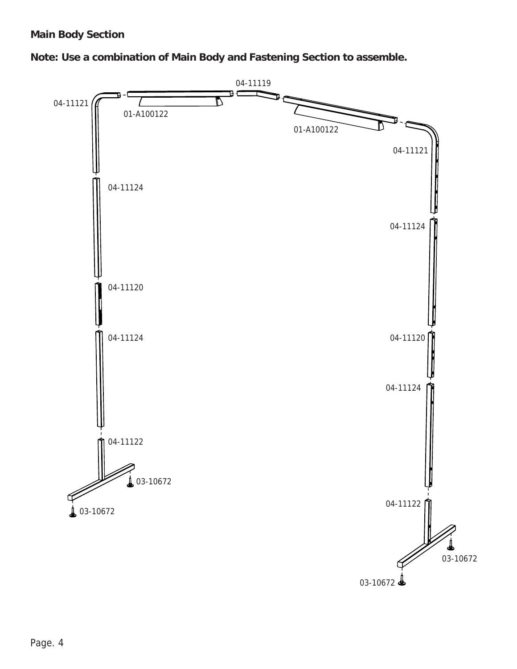# **Main Body Section**

**Note: Use a combination of Main Body and Fastening Section to assemble.**

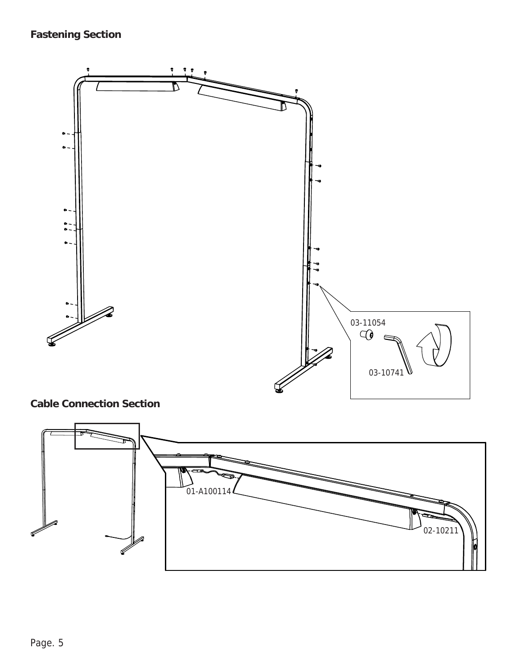# **Fastening Section**